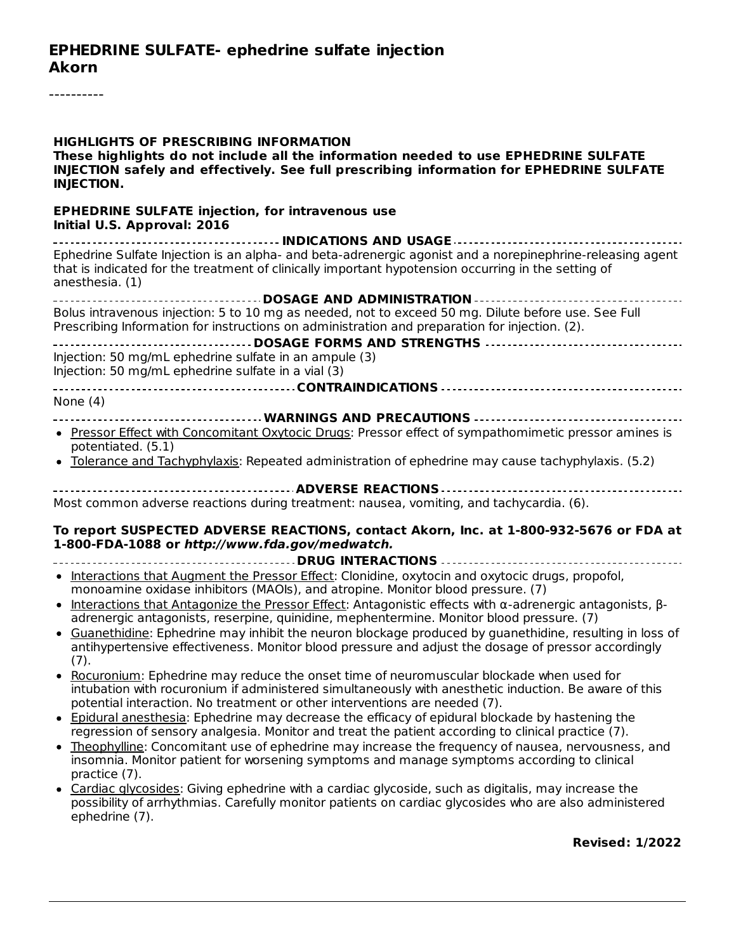----------

| <b>HIGHLIGHTS OF PRESCRIBING INFORMATION</b><br>These highlights do not include all the information needed to use EPHEDRINE SULFATE<br>INJECTION safely and effectively. See full prescribing information for EPHEDRINE SULFATE<br><b>INJECTION.</b>                                                                                                                                                                                                                                                                                                                                                                                                                                                                                                                                                                                                                                                                                                                                                                                                                                                                                                                                                                                                                                                                                                                                                                                                                                   |
|----------------------------------------------------------------------------------------------------------------------------------------------------------------------------------------------------------------------------------------------------------------------------------------------------------------------------------------------------------------------------------------------------------------------------------------------------------------------------------------------------------------------------------------------------------------------------------------------------------------------------------------------------------------------------------------------------------------------------------------------------------------------------------------------------------------------------------------------------------------------------------------------------------------------------------------------------------------------------------------------------------------------------------------------------------------------------------------------------------------------------------------------------------------------------------------------------------------------------------------------------------------------------------------------------------------------------------------------------------------------------------------------------------------------------------------------------------------------------------------|
| <b>EPHEDRINE SULFATE injection, for intravenous use</b><br>Initial U.S. Approval: 2016                                                                                                                                                                                                                                                                                                                                                                                                                                                                                                                                                                                                                                                                                                                                                                                                                                                                                                                                                                                                                                                                                                                                                                                                                                                                                                                                                                                                 |
| Ephedrine Sulfate Injection is an alpha- and beta-adrenergic agonist and a norepinephrine-releasing agent<br>that is indicated for the treatment of clinically important hypotension occurring in the setting of<br>anesthesia. (1)                                                                                                                                                                                                                                                                                                                                                                                                                                                                                                                                                                                                                                                                                                                                                                                                                                                                                                                                                                                                                                                                                                                                                                                                                                                    |
| Bolus intravenous injection: 5 to 10 mg as needed, not to exceed 50 mg. Dilute before use. See Full<br>Prescribing Information for instructions on administration and preparation for injection. (2).                                                                                                                                                                                                                                                                                                                                                                                                                                                                                                                                                                                                                                                                                                                                                                                                                                                                                                                                                                                                                                                                                                                                                                                                                                                                                  |
| Injection: 50 mg/mL ephedrine sulfate in an ampule (3)<br>Injection: 50 mg/mL ephedrine sulfate in a vial (3)                                                                                                                                                                                                                                                                                                                                                                                                                                                                                                                                                                                                                                                                                                                                                                                                                                                                                                                                                                                                                                                                                                                                                                                                                                                                                                                                                                          |
| None $(4)$                                                                                                                                                                                                                                                                                                                                                                                                                                                                                                                                                                                                                                                                                                                                                                                                                                                                                                                                                                                                                                                                                                                                                                                                                                                                                                                                                                                                                                                                             |
| ___________________________________WARNINGS AND PRECAUTIONS _____________________<br>• Pressor Effect with Concomitant Oxytocic Drugs: Pressor effect of sympathomimetic pressor amines is<br>potentiated. (5.1)<br>• Tolerance and Tachyphylaxis: Repeated administration of ephedrine may cause tachyphylaxis. (5.2)                                                                                                                                                                                                                                                                                                                                                                                                                                                                                                                                                                                                                                                                                                                                                                                                                                                                                                                                                                                                                                                                                                                                                                 |
| Most common adverse reactions during treatment: nausea, vomiting, and tachycardia. (6).<br>To report SUSPECTED ADVERSE REACTIONS, contact Akorn, Inc. at 1-800-932-5676 or FDA at<br>1-800-FDA-1088 or http://www.fda.gov/medwatch.                                                                                                                                                                                                                                                                                                                                                                                                                                                                                                                                                                                                                                                                                                                                                                                                                                                                                                                                                                                                                                                                                                                                                                                                                                                    |
| • Interactions that Augment the Pressor Effect: Clonidine, oxytocin and oxytocic drugs, propofol,                                                                                                                                                                                                                                                                                                                                                                                                                                                                                                                                                                                                                                                                                                                                                                                                                                                                                                                                                                                                                                                                                                                                                                                                                                                                                                                                                                                      |
| monoamine oxidase inhibitors (MAOIs), and atropine. Monitor blood pressure. (7)<br>Interactions that Antagonize the Pressor Effect: Antagonistic effects with $\alpha$ -adrenergic antagonists, $\beta$ -<br>adrenergic antagonists, reserpine, quinidine, mephentermine. Monitor blood pressure. (7)<br>• Guanethidine: Ephedrine may inhibit the neuron blockage produced by quanethidine, resulting in loss of<br>antihypertensive effectiveness. Monitor blood pressure and adjust the dosage of pressor accordingly<br>(7).<br>Rocuronium: Ephedrine may reduce the onset time of neuromuscular blockade when used for<br>intubation with rocuronium if administered simultaneously with anesthetic induction. Be aware of this<br>potential interaction. No treatment or other interventions are needed (7).<br>• Epidural anesthesia: Ephedrine may decrease the efficacy of epidural blockade by hastening the<br>regression of sensory analgesia. Monitor and treat the patient according to clinical practice (7).<br>• Theophylline: Concomitant use of ephedrine may increase the frequency of nausea, nervousness, and<br>insomnia. Monitor patient for worsening symptoms and manage symptoms according to clinical<br>practice (7).<br>• Cardiac glycosides: Giving ephedrine with a cardiac glycoside, such as digitalis, may increase the<br>possibility of arrhythmias. Carefully monitor patients on cardiac glycosides who are also administered<br>ephedrine (7). |
| <b>Pavicad: 1/2022</b>                                                                                                                                                                                                                                                                                                                                                                                                                                                                                                                                                                                                                                                                                                                                                                                                                                                                                                                                                                                                                                                                                                                                                                                                                                                                                                                                                                                                                                                                 |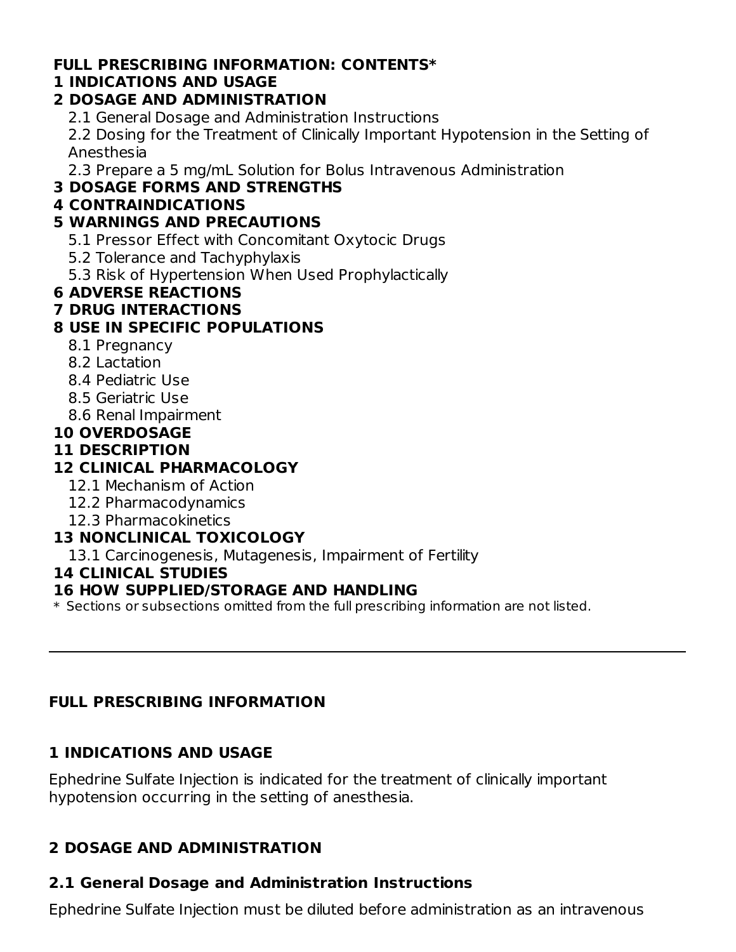### **FULL PRESCRIBING INFORMATION: CONTENTS\***

## **1 INDICATIONS AND USAGE**

## **2 DOSAGE AND ADMINISTRATION**

2.1 General Dosage and Administration Instructions

2.2 Dosing for the Treatment of Clinically Important Hypotension in the Setting of Anesthesia

2.3 Prepare a 5 mg/mL Solution for Bolus Intravenous Administration

## **3 DOSAGE FORMS AND STRENGTHS**

## **4 CONTRAINDICATIONS**

## **5 WARNINGS AND PRECAUTIONS**

- 5.1 Pressor Effect with Concomitant Oxytocic Drugs
- 5.2 Tolerance and Tachyphylaxis
- 5.3 Risk of Hypertension When Used Prophylactically

## **6 ADVERSE REACTIONS**

### **7 DRUG INTERACTIONS**

## **8 USE IN SPECIFIC POPULATIONS**

- 8.1 Pregnancy
- 8.2 Lactation
- 8.4 Pediatric Use
- 8.5 Geriatric Use
- 8.6 Renal Impairment

## **10 OVERDOSAGE**

## **11 DESCRIPTION**

## **12 CLINICAL PHARMACOLOGY**

- 12.1 Mechanism of Action
- 12.2 Pharmacodynamics
- 12.3 Pharmacokinetics

## **13 NONCLINICAL TOXICOLOGY**

13.1 Carcinogenesis, Mutagenesis, Impairment of Fertility

### **14 CLINICAL STUDIES**

## **16 HOW SUPPLIED/STORAGE AND HANDLING**

\* Sections or subsections omitted from the full prescribing information are not listed.

## **FULL PRESCRIBING INFORMATION**

## **1 INDICATIONS AND USAGE**

Ephedrine Sulfate Injection is indicated for the treatment of clinically important hypotension occurring in the setting of anesthesia.

## **2 DOSAGE AND ADMINISTRATION**

## **2.1 General Dosage and Administration Instructions**

Ephedrine Sulfate Injection must be diluted before administration as an intravenous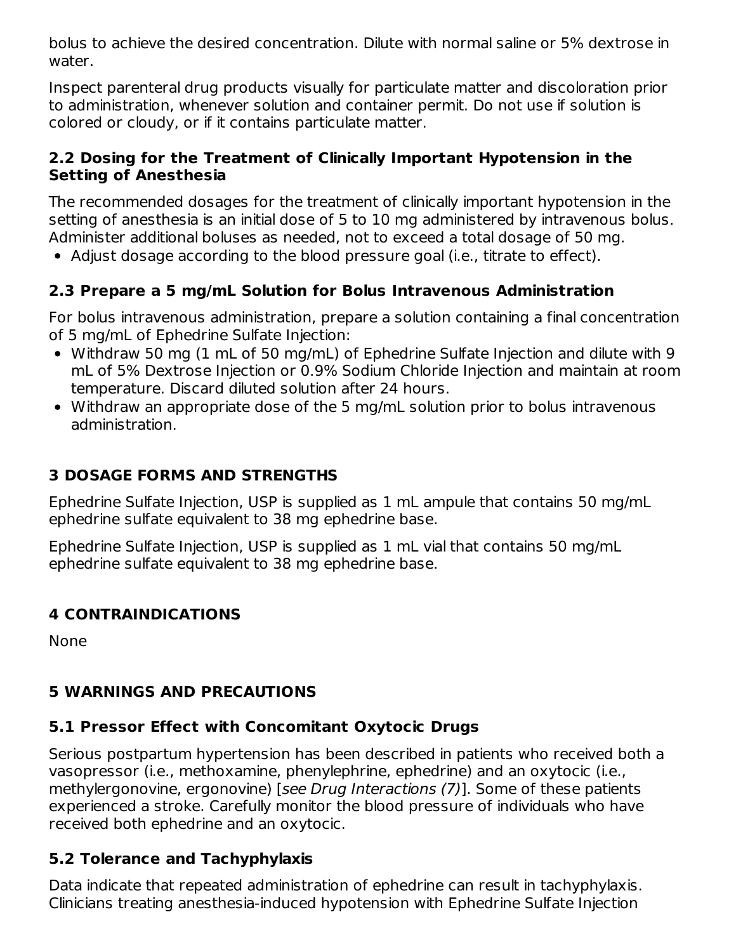bolus to achieve the desired concentration. Dilute with normal saline or 5% dextrose in water.

Inspect parenteral drug products visually for particulate matter and discoloration prior to administration, whenever solution and container permit. Do not use if solution is colored or cloudy, or if it contains particulate matter.

### **2.2 Dosing for the Treatment of Clinically Important Hypotension in the Setting of Anesthesia**

The recommended dosages for the treatment of clinically important hypotension in the setting of anesthesia is an initial dose of 5 to 10 mg administered by intravenous bolus. Administer additional boluses as needed, not to exceed a total dosage of 50 mg.

Adjust dosage according to the blood pressure goal (i.e., titrate to effect).

## **2.3 Prepare a 5 mg/mL Solution for Bolus Intravenous Administration**

For bolus intravenous administration, prepare a solution containing a final concentration of 5 mg/mL of Ephedrine Sulfate Injection:

- Withdraw 50 mg (1 mL of 50 mg/mL) of Ephedrine Sulfate Injection and dilute with 9 mL of 5% Dextrose Injection or 0.9% Sodium Chloride Injection and maintain at room temperature. Discard diluted solution after 24 hours.
- Withdraw an appropriate dose of the 5 mg/mL solution prior to bolus intravenous administration.

## **3 DOSAGE FORMS AND STRENGTHS**

Ephedrine Sulfate Injection, USP is supplied as 1 mL ampule that contains 50 mg/mL ephedrine sulfate equivalent to 38 mg ephedrine base.

Ephedrine Sulfate Injection, USP is supplied as 1 mL vial that contains 50 mg/mL ephedrine sulfate equivalent to 38 mg ephedrine base.

## **4 CONTRAINDICATIONS**

None

## **5 WARNINGS AND PRECAUTIONS**

## **5.1 Pressor Effect with Concomitant Oxytocic Drugs**

Serious postpartum hypertension has been described in patients who received both a vasopressor (i.e., methoxamine, phenylephrine, ephedrine) and an oxytocic (i.e., methylergonovine, ergonovine) [see Drug Interactions (7)]. Some of these patients experienced a stroke. Carefully monitor the blood pressure of individuals who have received both ephedrine and an oxytocic.

## **5.2 Tolerance and Tachyphylaxis**

Data indicate that repeated administration of ephedrine can result in tachyphylaxis. Clinicians treating anesthesia-induced hypotension with Ephedrine Sulfate Injection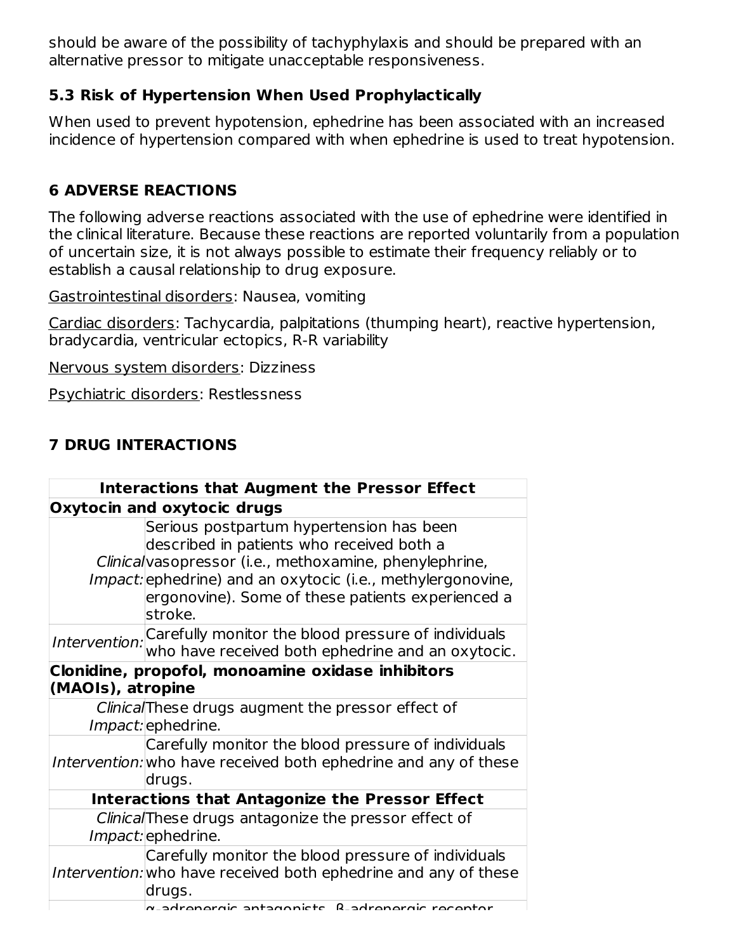should be aware of the possibility of tachyphylaxis and should be prepared with an alternative pressor to mitigate unacceptable responsiveness.

## **5.3 Risk of Hypertension When Used Prophylactically**

When used to prevent hypotension, ephedrine has been associated with an increased incidence of hypertension compared with when ephedrine is used to treat hypotension.

## **6 ADVERSE REACTIONS**

The following adverse reactions associated with the use of ephedrine were identified in the clinical literature. Because these reactions are reported voluntarily from a population of uncertain size, it is not always possible to estimate their frequency reliably or to establish a causal relationship to drug exposure.

Gastrointestinal disorders: Nausea, vomiting

Cardiac disorders: Tachycardia, palpitations (thumping heart), reactive hypertension, bradycardia, ventricular ectopics, R-R variability

Nervous system disorders: Dizziness

Psychiatric disorders: Restlessness

## **7 DRUG INTERACTIONS**

|                   | <b>Interactions that Augment the Pressor Effect</b>                                                                                                                                                                                                                                   |
|-------------------|---------------------------------------------------------------------------------------------------------------------------------------------------------------------------------------------------------------------------------------------------------------------------------------|
|                   | Oxytocin and oxytocic drugs                                                                                                                                                                                                                                                           |
|                   | Serious postpartum hypertension has been<br>described in patients who received both a<br>Clinicalvasopressor (i.e., methoxamine, phenylephrine,<br><i>Impact:</i> ephedrine) and an oxytocic (i.e., methylergonovine,<br>ergonovine). Some of these patients experienced a<br>stroke. |
|                   | Intervention: Carefully monitor the blood pressure of individuals<br>who have received both ephedrine and an oxytocic.                                                                                                                                                                |
|                   | Clonidine, propofol, monoamine oxidase inhibitors                                                                                                                                                                                                                                     |
| (MAOIs), atropine |                                                                                                                                                                                                                                                                                       |
|                   | Clinical These drugs augment the pressor effect of<br><i>Impact:</i> ephedrine.                                                                                                                                                                                                       |
|                   | Carefully monitor the blood pressure of individuals<br>Intervention: who have received both ephedrine and any of these<br>drugs.                                                                                                                                                      |
|                   | <b>Interactions that Antagonize the Pressor Effect</b>                                                                                                                                                                                                                                |
|                   | Clinical These drugs antagonize the pressor effect of                                                                                                                                                                                                                                 |
|                   | <i>Impact:</i> ephedrine.                                                                                                                                                                                                                                                             |
|                   | Carefully monitor the blood pressure of individuals<br>Intervention: who have received both ephedrine and any of these<br>drugs.                                                                                                                                                      |
|                   | adroporais antagonists R adroporais roson                                                                                                                                                                                                                                             |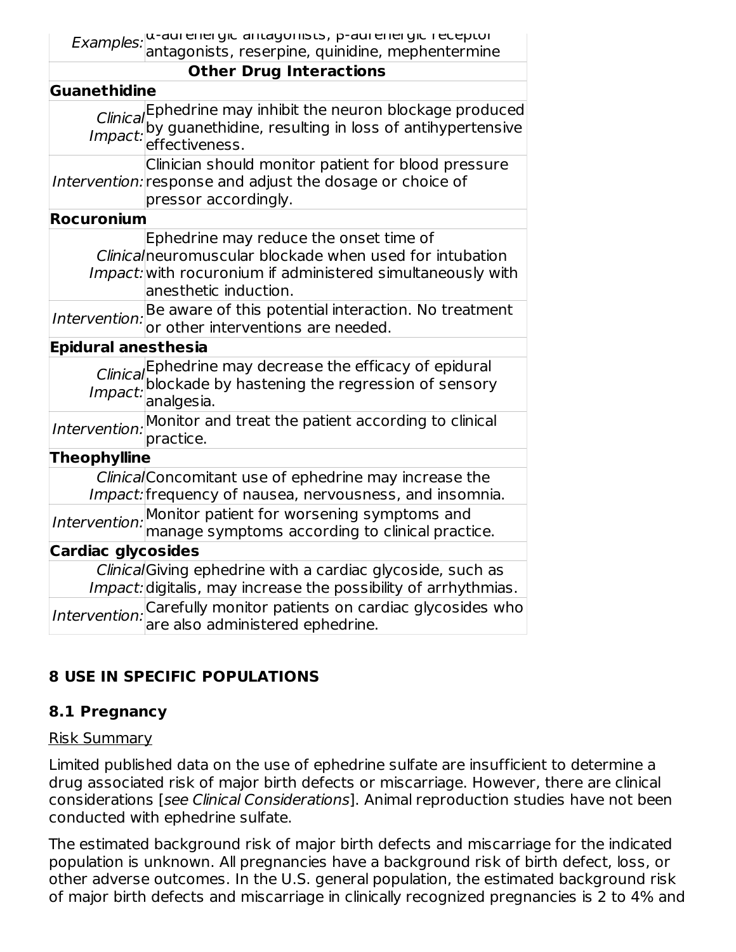| <i>Examples:</i> and energic antagonists, p-aurencie gic receptor<br>antagonists, reserpine, quinidine, mephentermine |  |
|-----------------------------------------------------------------------------------------------------------------------|--|

#### **Other Drug Interactions**

| <b>Guanethidine</b>        |                                                                                                                                                                                           |  |  |  |  |  |
|----------------------------|-------------------------------------------------------------------------------------------------------------------------------------------------------------------------------------------|--|--|--|--|--|
|                            | Clinical Ephedrine may inhibit the neuron blockage produced<br>Impact: by guanethidine, resulting in loss of antihypertensive<br>effectiveness.                                           |  |  |  |  |  |
|                            | Clinician should monitor patient for blood pressure<br>Intervention: response and adjust the dosage or choice of<br>pressor accordingly.                                                  |  |  |  |  |  |
| <b>Rocuronium</b>          |                                                                                                                                                                                           |  |  |  |  |  |
|                            | Ephedrine may reduce the onset time of<br>Clinicalneuromuscular blockade when used for intubation<br>Impact: with rocuronium if administered simultaneously with<br>anesthetic induction. |  |  |  |  |  |
| Intervention:              | Be aware of this potential interaction. No treatment<br>or other interventions are needed.                                                                                                |  |  |  |  |  |
| <b>Epidural anesthesia</b> |                                                                                                                                                                                           |  |  |  |  |  |
| Impact:                    | Clinical Ephedrine may decrease the efficacy of epidural<br>mpact: blockade by hastening the regression of sensory<br>analgesia.                                                          |  |  |  |  |  |
| Intervention:              | Monitor and treat the patient according to clinical<br>practice.                                                                                                                          |  |  |  |  |  |
| <b>Theophylline</b>        |                                                                                                                                                                                           |  |  |  |  |  |
|                            | ClinicalConcomitant use of ephedrine may increase the<br>Impact: frequency of nausea, nervousness, and insomnia.                                                                          |  |  |  |  |  |
|                            | Intervention: Monitor patient for worsening symptoms and<br>Intervention: manage symptoms according to clinical practice.                                                                 |  |  |  |  |  |
| <b>Cardiac glycosides</b>  |                                                                                                                                                                                           |  |  |  |  |  |
|                            | ClinicalGiving ephedrine with a cardiac glycoside, such as<br>Impact: digitalis, may increase the possibility of arrhythmias.                                                             |  |  |  |  |  |
|                            | Intervention: Carefully monitor patients on cardiac glycosides who<br>are also administered ephedrine.                                                                                    |  |  |  |  |  |

## **8 USE IN SPECIFIC POPULATIONS**

### **8.1 Pregnancy**

### Risk Summary

Limited published data on the use of ephedrine sulfate are insufficient to determine a drug associated risk of major birth defects or miscarriage. However, there are clinical considerations [see Clinical Considerations]. Animal reproduction studies have not been conducted with ephedrine sulfate.

The estimated background risk of major birth defects and miscarriage for the indicated population is unknown. All pregnancies have a background risk of birth defect, loss, or other adverse outcomes. In the U.S. general population, the estimated background risk of major birth defects and miscarriage in clinically recognized pregnancies is 2 to 4% and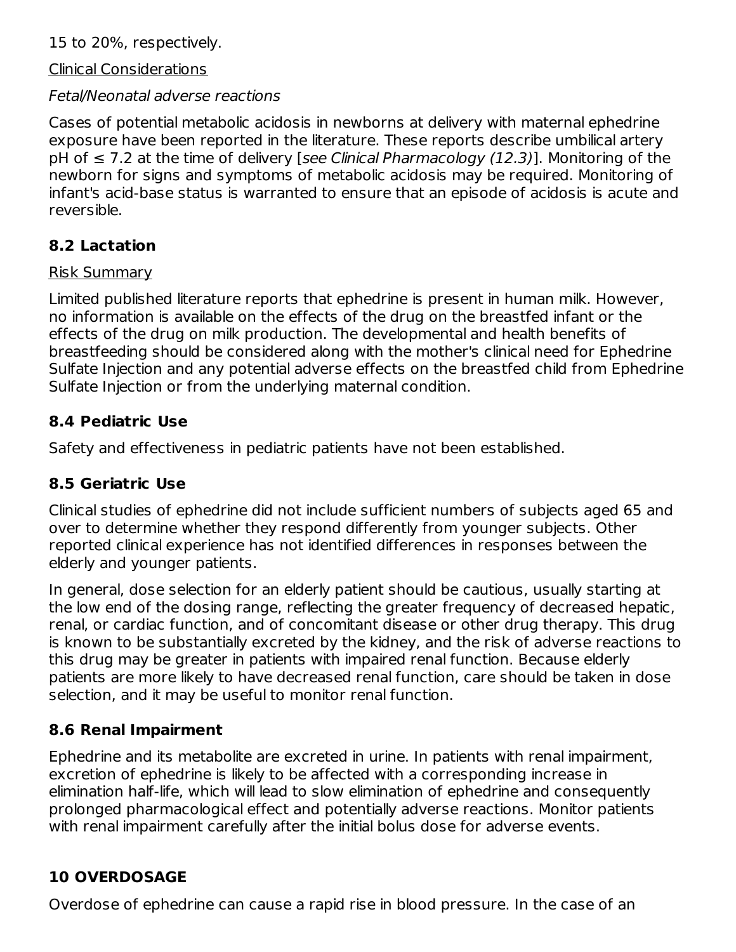15 to 20%, respectively.

Clinical Considerations

#### Fetal/Neonatal adverse reactions

Cases of potential metabolic acidosis in newborns at delivery with maternal ephedrine exposure have been reported in the literature. These reports describe umbilical artery pH of  $\leq$  7.2 at the time of delivery [see Clinical Pharmacology (12.3)]. Monitoring of the newborn for signs and symptoms of metabolic acidosis may be required. Monitoring of infant's acid-base status is warranted to ensure that an episode of acidosis is acute and reversible.

## **8.2 Lactation**

### Risk Summary

Limited published literature reports that ephedrine is present in human milk. However, no information is available on the effects of the drug on the breastfed infant or the effects of the drug on milk production. The developmental and health benefits of breastfeeding should be considered along with the mother's clinical need for Ephedrine Sulfate Injection and any potential adverse effects on the breastfed child from Ephedrine Sulfate Injection or from the underlying maternal condition.

## **8.4 Pediatric Use**

Safety and effectiveness in pediatric patients have not been established.

### **8.5 Geriatric Use**

Clinical studies of ephedrine did not include sufficient numbers of subjects aged 65 and over to determine whether they respond differently from younger subjects. Other reported clinical experience has not identified differences in responses between the elderly and younger patients.

In general, dose selection for an elderly patient should be cautious, usually starting at the low end of the dosing range, reflecting the greater frequency of decreased hepatic, renal, or cardiac function, and of concomitant disease or other drug therapy. This drug is known to be substantially excreted by the kidney, and the risk of adverse reactions to this drug may be greater in patients with impaired renal function. Because elderly patients are more likely to have decreased renal function, care should be taken in dose selection, and it may be useful to monitor renal function.

## **8.6 Renal Impairment**

Ephedrine and its metabolite are excreted in urine. In patients with renal impairment, excretion of ephedrine is likely to be affected with a corresponding increase in elimination half-life, which will lead to slow elimination of ephedrine and consequently prolonged pharmacological effect and potentially adverse reactions. Monitor patients with renal impairment carefully after the initial bolus dose for adverse events.

## **10 OVERDOSAGE**

Overdose of ephedrine can cause a rapid rise in blood pressure. In the case of an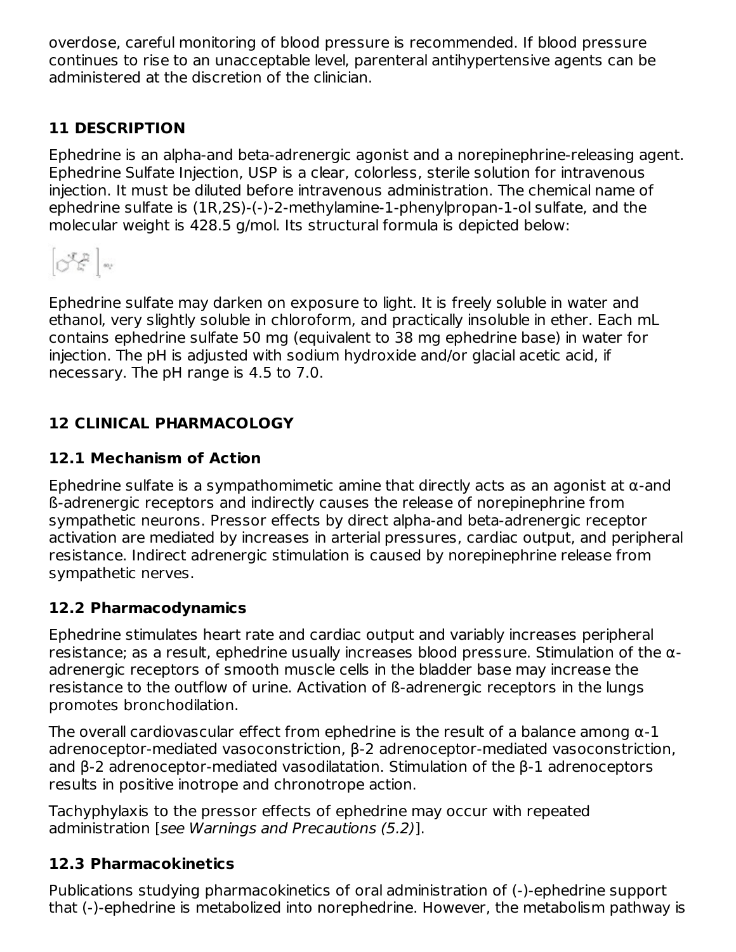overdose, careful monitoring of blood pressure is recommended. If blood pressure continues to rise to an unacceptable level, parenteral antihypertensive agents can be administered at the discretion of the clinician.

## **11 DESCRIPTION**

Ephedrine is an alpha-and beta-adrenergic agonist and a norepinephrine-releasing agent. Ephedrine Sulfate Injection, USP is a clear, colorless, sterile solution for intravenous injection. It must be diluted before intravenous administration. The chemical name of ephedrine sulfate is (1R,2S)-(-)-2-methylamine-1-phenylpropan-1-ol sulfate, and the molecular weight is 428.5 g/mol. Its structural formula is depicted below:



Ephedrine sulfate may darken on exposure to light. It is freely soluble in water and ethanol, very slightly soluble in chloroform, and practically insoluble in ether. Each mL contains ephedrine sulfate 50 mg (equivalent to 38 mg ephedrine base) in water for injection. The pH is adjusted with sodium hydroxide and/or glacial acetic acid, if necessary. The pH range is 4.5 to 7.0.

## **12 CLINICAL PHARMACOLOGY**

## **12.1 Mechanism of Action**

Ephedrine sulfate is a sympathomimetic amine that directly acts as an agonist at α-and ß-adrenergic receptors and indirectly causes the release of norepinephrine from sympathetic neurons. Pressor effects by direct alpha-and beta-adrenergic receptor activation are mediated by increases in arterial pressures, cardiac output, and peripheral resistance. Indirect adrenergic stimulation is caused by norepinephrine release from sympathetic nerves.

## **12.2 Pharmacodynamics**

Ephedrine stimulates heart rate and cardiac output and variably increases peripheral resistance; as a result, ephedrine usually increases blood pressure. Stimulation of the αadrenergic receptors of smooth muscle cells in the bladder base may increase the resistance to the outflow of urine. Activation of ß-adrenergic receptors in the lungs promotes bronchodilation.

The overall cardiovascular effect from ephedrine is the result of a balance among  $\alpha$ -1 adrenoceptor-mediated vasoconstriction, β-2 adrenoceptor-mediated vasoconstriction, and β-2 adrenoceptor-mediated vasodilatation. Stimulation of the β-1 adrenoceptors results in positive inotrope and chronotrope action.

Tachyphylaxis to the pressor effects of ephedrine may occur with repeated administration [see Warnings and Precautions (5.2)].

## **12.3 Pharmacokinetics**

Publications studying pharmacokinetics of oral administration of (-)-ephedrine support that (-)-ephedrine is metabolized into norephedrine. However, the metabolism pathway is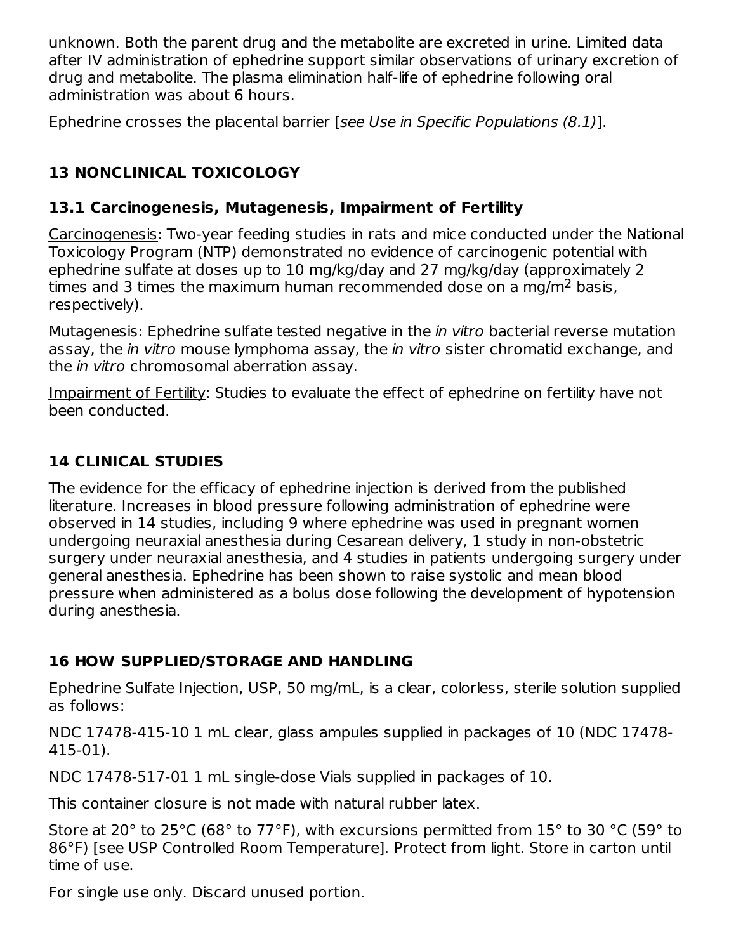unknown. Both the parent drug and the metabolite are excreted in urine. Limited data after IV administration of ephedrine support similar observations of urinary excretion of drug and metabolite. The plasma elimination half-life of ephedrine following oral administration was about 6 hours.

Ephedrine crosses the placental barrier [see Use in Specific Populations (8.1)].

## **13 NONCLINICAL TOXICOLOGY**

## **13.1 Carcinogenesis, Mutagenesis, Impairment of Fertility**

Carcinogenesis: Two-year feeding studies in rats and mice conducted under the National Toxicology Program (NTP) demonstrated no evidence of carcinogenic potential with ephedrine sulfate at doses up to 10 mg/kg/day and 27 mg/kg/day (approximately 2 times and 3 times the maximum human recommended dose on a mg/m<sup>2</sup> basis, respectively).

Mutagenesis: Ephedrine sulfate tested negative in the *in vitro* bacterial reverse mutation assay, the *in vitro* mouse lymphoma assay, the *in vitro* sister chromatid exchange, and the *in vitro* chromosomal aberration assay.

Impairment of Fertility: Studies to evaluate the effect of ephedrine on fertility have not been conducted.

## **14 CLINICAL STUDIES**

The evidence for the efficacy of ephedrine injection is derived from the published literature. Increases in blood pressure following administration of ephedrine were observed in 14 studies, including 9 where ephedrine was used in pregnant women undergoing neuraxial anesthesia during Cesarean delivery, 1 study in non-obstetric surgery under neuraxial anesthesia, and 4 studies in patients undergoing surgery under general anesthesia. Ephedrine has been shown to raise systolic and mean blood pressure when administered as a bolus dose following the development of hypotension during anesthesia.

## **16 HOW SUPPLIED/STORAGE AND HANDLING**

Ephedrine Sulfate Injection, USP, 50 mg/mL, is a clear, colorless, sterile solution supplied as follows:

NDC 17478-415-10 1 mL clear, glass ampules supplied in packages of 10 (NDC 17478- 415-01).

NDC 17478-517-01 1 mL single-dose Vials supplied in packages of 10.

This container closure is not made with natural rubber latex.

Store at 20° to 25°C (68° to 77°F), with excursions permitted from 15° to 30 °C (59° to 86°F) [see USP Controlled Room Temperature]. Protect from light. Store in carton until time of use.

For single use only. Discard unused portion.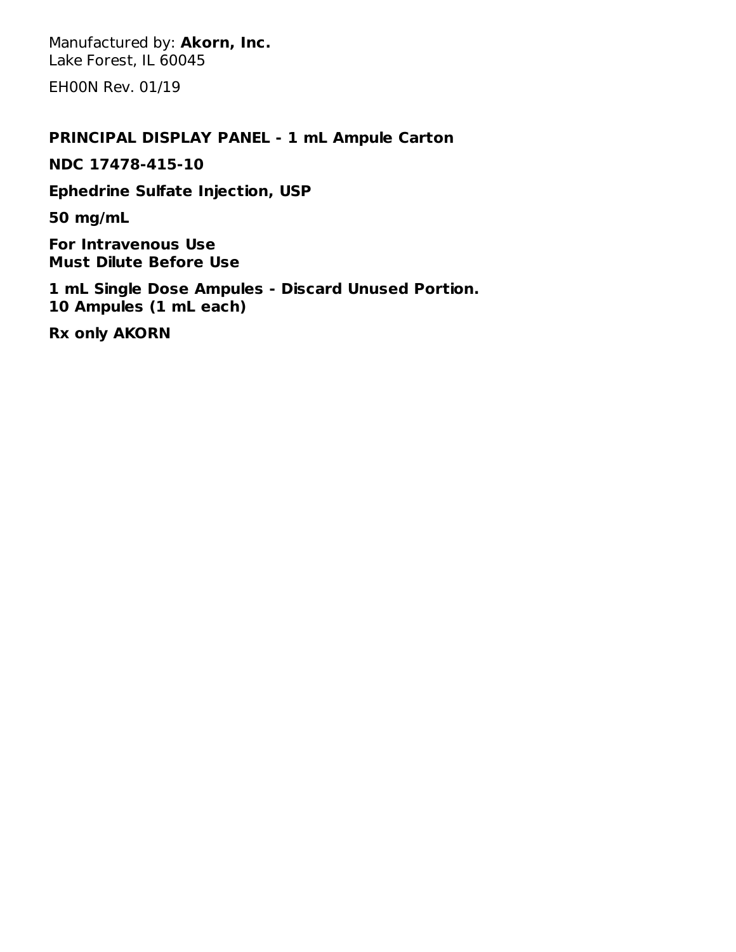Manufactured by: **Akorn, Inc.** Lake Forest, IL 60045 EH00N Rev. 01/19

#### **PRINCIPAL DISPLAY PANEL - 1 mL Ampule Carton**

**NDC 17478-415-10**

**Ephedrine Sulfate Injection, USP**

**50 mg/mL**

**For Intravenous Use Must Dilute Before Use**

**1 mL Single Dose Ampules - Discard Unused Portion. 10 Ampules (1 mL each)**

**Rx only AKORN**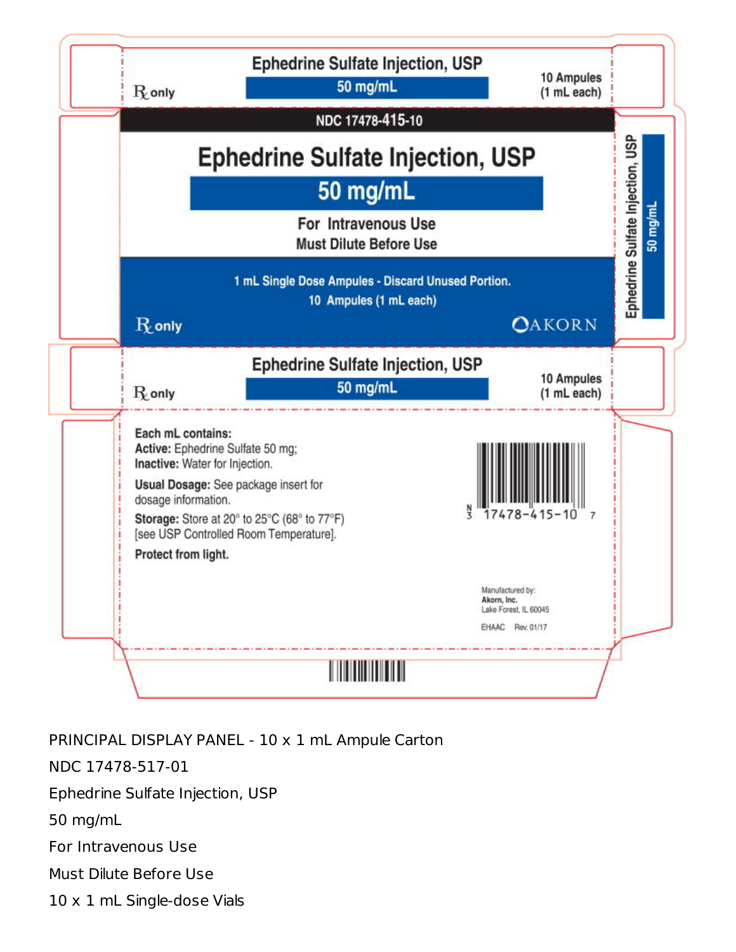

PRINCIPAL DISPLAY PANEL - 10 x 1 mL Ampule Carton

NDC 17478-517-01

Ephedrine Sulfate Injection, USP

50 mg/mL

For Intravenous Use

Must Dilute Before Use

10 x 1 mL Single-dose Vials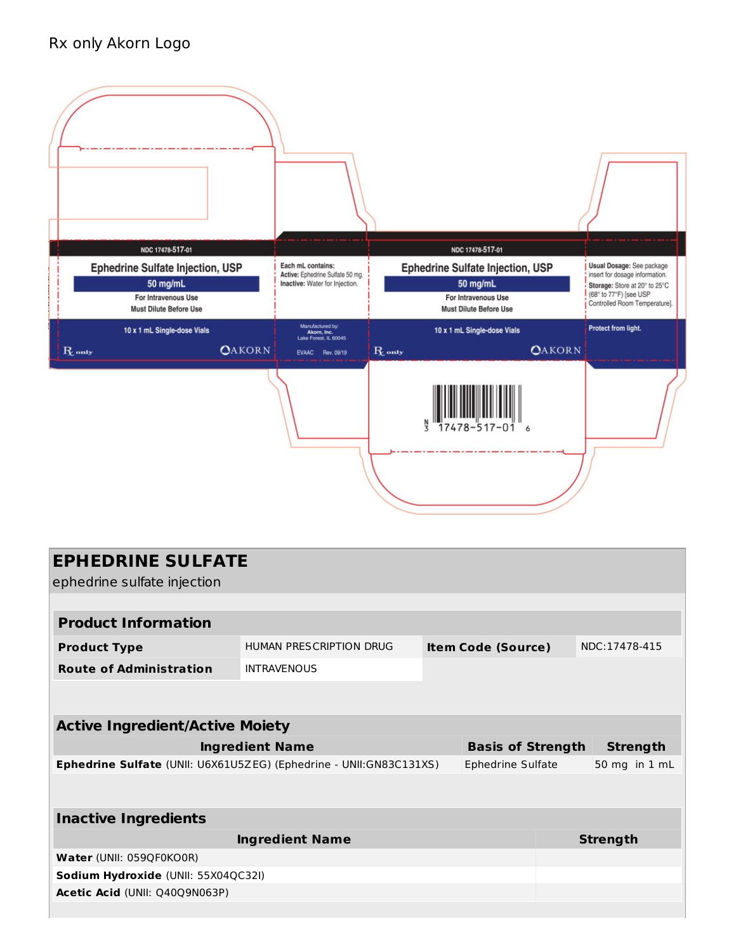## Rx only Akorn Logo



| <b>EPHEDRINE SULFATE</b><br>ephedrine sulfate injection               |                                |  |                           |  |                 |  |  |
|-----------------------------------------------------------------------|--------------------------------|--|---------------------------|--|-----------------|--|--|
|                                                                       |                                |  |                           |  |                 |  |  |
| <b>Product Information</b>                                            |                                |  |                           |  |                 |  |  |
| <b>Product Type</b>                                                   | <b>HUMAN PRESCRIPTION DRUG</b> |  | <b>Item Code (Source)</b> |  | NDC:17478-415   |  |  |
| <b>Route of Administration</b>                                        | <b>INTRAVENOUS</b>             |  |                           |  |                 |  |  |
|                                                                       |                                |  |                           |  |                 |  |  |
| <b>Active Ingredient/Active Moiety</b>                                |                                |  |                           |  |                 |  |  |
| <b>Basis of Strength</b><br><b>Ingredient Name</b><br><b>Strength</b> |                                |  |                           |  |                 |  |  |
| Ephedrine Sulfate (UNII: U6X61U5ZEG) (Ephedrine - UNII:GN83C131XS)    |                                |  | Ephedrine Sulfate         |  | 50 mg in 1 mL   |  |  |
|                                                                       |                                |  |                           |  |                 |  |  |
| <b>Inactive Ingredients</b>                                           |                                |  |                           |  |                 |  |  |
|                                                                       | <b>Ingredient Name</b>         |  |                           |  | <b>Strength</b> |  |  |
| Water (UNII: 059QF0KO0R)                                              |                                |  |                           |  |                 |  |  |
| Sodium Hydroxide (UNII: 55X04QC32I)                                   |                                |  |                           |  |                 |  |  |
| Acetic Acid (UNII: Q40Q9N063P)                                        |                                |  |                           |  |                 |  |  |
|                                                                       |                                |  |                           |  |                 |  |  |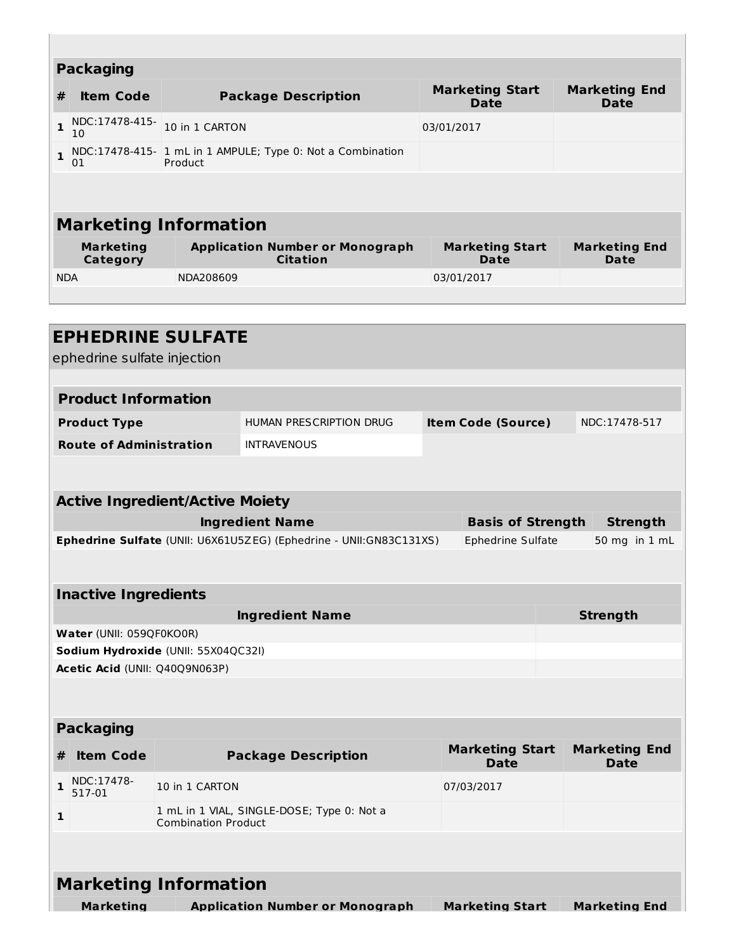|              | <b>Packaging</b>             |                                                                       |                                       |                                     |  |  |
|--------------|------------------------------|-----------------------------------------------------------------------|---------------------------------------|-------------------------------------|--|--|
| #            | <b>Item Code</b>             | <b>Package Description</b>                                            | <b>Marketing Start</b><br><b>Date</b> | <b>Marketing End</b><br><b>Date</b> |  |  |
| $\mathbf{1}$ | NDC:17478-415-<br>10         | 10 in 1 CARTON                                                        | 03/01/2017                            |                                     |  |  |
| $\mathbf{1}$ | 01                           | NDC:17478-415- 1 mL in 1 AMPULE; Type 0: Not a Combination<br>Product |                                       |                                     |  |  |
|              |                              |                                                                       |                                       |                                     |  |  |
|              |                              | <b>Marketing Information</b>                                          |                                       |                                     |  |  |
|              | <b>Marketing</b><br>Category | <b>Application Number or Monograph</b><br><b>Citation</b>             | <b>Marketing Start</b><br>Date        | <b>Marketing End</b><br>Date        |  |  |
| <b>NDA</b>   |                              | NDA208609                                                             | 03/01/2017                            |                                     |  |  |
|              |                              |                                                                       |                                       |                                     |  |  |

|   | <b>EPHEDRINE SULFATE</b><br>ephedrine sulfate injection |                                        |                                                                    |                           |                                       |  |                                     |
|---|---------------------------------------------------------|----------------------------------------|--------------------------------------------------------------------|---------------------------|---------------------------------------|--|-------------------------------------|
|   |                                                         |                                        |                                                                    |                           |                                       |  |                                     |
|   | <b>Product Information</b>                              |                                        |                                                                    |                           |                                       |  |                                     |
|   | <b>Product Type</b>                                     |                                        | <b>HUMAN PRESCRIPTION DRUG</b>                                     | <b>Item Code (Source)</b> |                                       |  | NDC:17478-517                       |
|   | <b>Route of Administration</b>                          |                                        | <b>INTRAVENOUS</b>                                                 |                           |                                       |  |                                     |
|   |                                                         |                                        |                                                                    |                           |                                       |  |                                     |
|   |                                                         | <b>Active Ingredient/Active Moiety</b> |                                                                    |                           |                                       |  |                                     |
|   |                                                         |                                        | <b>Ingredient Name</b>                                             |                           | <b>Basis of Strength</b>              |  | <b>Strength</b>                     |
|   |                                                         |                                        | Ephedrine Sulfate (UNII: U6X61U5ZEG) (Ephedrine - UNII:GN83C131XS) |                           | Ephedrine Sulfate                     |  | 50 mg in 1 mL                       |
|   |                                                         |                                        |                                                                    |                           |                                       |  |                                     |
|   | <b>Inactive Ingredients</b>                             |                                        |                                                                    |                           |                                       |  |                                     |
|   |                                                         |                                        | <b>Ingredient Name</b>                                             |                           |                                       |  | <b>Strength</b>                     |
|   | Water (UNII: 059QF0KO0R)                                |                                        |                                                                    |                           |                                       |  |                                     |
|   | Sodium Hydroxide (UNII: 55X04QC32I)                     |                                        |                                                                    |                           |                                       |  |                                     |
|   | Acetic Acid (UNII: Q40Q9N063P)                          |                                        |                                                                    |                           |                                       |  |                                     |
|   |                                                         |                                        |                                                                    |                           |                                       |  |                                     |
|   | <b>Packaging</b>                                        |                                        |                                                                    |                           |                                       |  |                                     |
| # | <b>Item Code</b>                                        |                                        | <b>Package Description</b>                                         |                           | <b>Marketing Start</b><br><b>Date</b> |  | <b>Marketing End</b><br><b>Date</b> |
| 1 | NDC:17478-<br>517-01                                    | 10 in 1 CARTON                         |                                                                    |                           | 07/03/2017                            |  |                                     |
| 1 |                                                         | <b>Combination Product</b>             | 1 mL in 1 VIAL, SINGLE-DOSE; Type 0: Not a                         |                           |                                       |  |                                     |
|   |                                                         |                                        |                                                                    |                           |                                       |  |                                     |
|   |                                                         | <b>Marketing Information</b>           |                                                                    |                           |                                       |  |                                     |
|   | <b>Marketing</b>                                        |                                        | <b>Application Number or Monograph</b>                             |                           | <b>Marketing Start</b>                |  | <b>Marketing End</b>                |